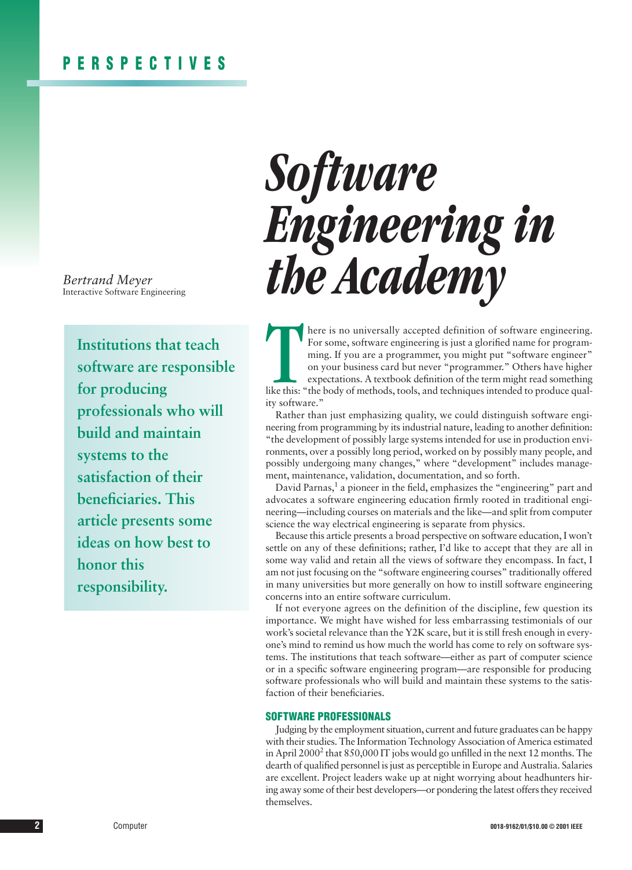# *Bertrand Meyer* Interactive Software Engineering

**Institutions that teach software are responsible for producing professionals who will build and maintain systems to the satisfaction of their beneficiaries. This article presents some ideas on how best to honor this responsibility.**

# *Software Engineering in the Academy*

There is no universally accepted definition of software engineering.<br>For some, software engineering is just a glorified name for program-<br>ming. If you are a programmer, you might put "software engineer"<br>on your business ca here is no universally accepted definition of software engineering. For some, software engineering is just a glorified name for programming. If you are a programmer, you might put "software engineer" on your business card but never "programmer." Others have higher expectations. A textbook definition of the term might read something ity software."

Rather than just emphasizing quality, we could distinguish software engineering from programming by its industrial nature, leading to another definition: "the development of possibly large systems intended for use in production environments, over a possibly long period, worked on by possibly many people, and possibly undergoing many changes," where "development" includes management, maintenance, validation, documentation, and so forth.

David Parnas, $<sup>1</sup>$  a pioneer in the field, emphasizes the "engineering" part and</sup> advocates a software engineering education firmly rooted in traditional engineering—including courses on materials and the like—and split from computer science the way electrical engineering is separate from physics.

Because this article presents a broad perspective on software education, I won't settle on any of these definitions; rather, I'd like to accept that they are all in some way valid and retain all the views of software they encompass. In fact, I am not just focusing on the "software engineering courses" traditionally offered in many universities but more generally on how to instill software engineering concerns into an entire software curriculum.

If not everyone agrees on the definition of the discipline, few question its importance. We might have wished for less embarrassing testimonials of our work's societal relevance than the Y2K scare, but it is still fresh enough in everyone's mind to remind us how much the world has come to rely on software systems. The institutions that teach software—either as part of computer science or in a specific software engineering program—are responsible for producing software professionals who will build and maintain these systems to the satisfaction of their beneficiaries.

## **SOFTWARE PROFESSIONALS**

Judging by the employment situation, current and future graduates can be happy with their studies. The Information Technology Association of America estimated in April 2000<sup>2</sup> that 850,000 IT jobs would go unfilled in the next 12 months. The dearth of qualified personnel is just as perceptible in Europe and Australia. Salaries are excellent. Project leaders wake up at night worrying about headhunters hiring away some of their best developers—or pondering the latest offers they received themselves.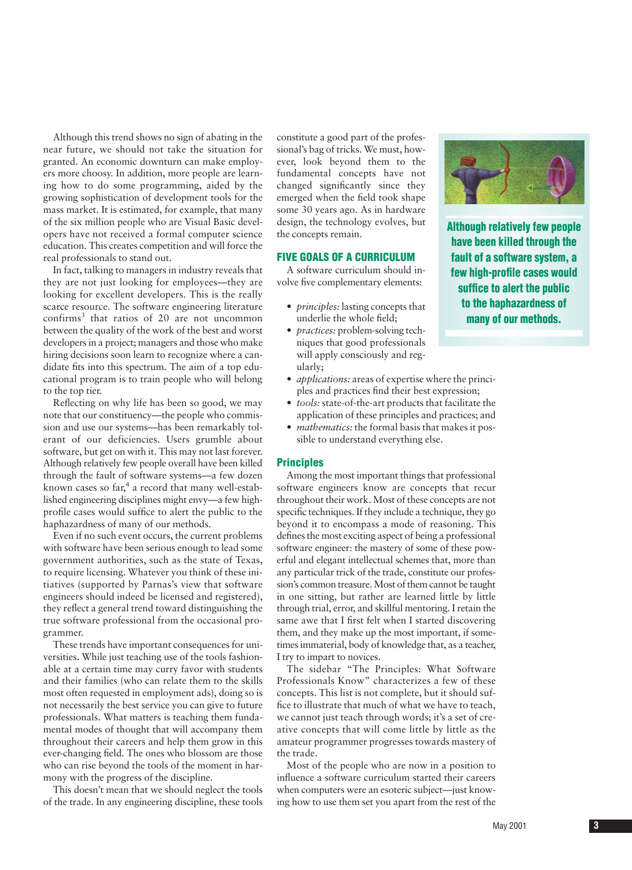Although this trend shows no sign of abating in the near future, we should not take the situation for granted. An economic downturn can make employers more choosy. In addition, more people are learning how to do some programming, aided by the growing sophistication of development tools for the mass market. It is estimated, for example, that many of the six million people who are Visual Basic developers have not received a formal computer science education. This creates competition and will force the real professionals to stand out.

In fact, talking to managers in industry reveals that they are not just looking for employees—they are looking for excellent developers. This is the really scarce resource. The software engineering literature confirms<sup>3</sup> that ratios of 20 are not uncommon between the quality of the work of the best and worst developers in a project; managers and those who make hiring decisions soon learn to recognize where a candidate fits into this spectrum. The aim of a top educational program is to train people who will belong to the top tier.

Reflecting on why life has been so good, we may note that our constituency—the people who commission and use our systems—has been remarkably tolerant of our deficiencies. Users grumble about software, but get on with it. This may not last forever. Although relatively few people overall have been killed through the fault of software systems—a few dozen known cases so  $far<sub>1</sub><sup>4</sup>$  a record that many well-established engineering disciplines might envy—a few highprofile cases would suffice to alert the public to the haphazardness of many of our methods.

Even if no such event occurs, the current problems with software have been serious enough to lead some government authorities, such as the state of Texas, to require licensing. Whatever you think of these initiatives (supported by Parnas's view that software engineers should indeed be licensed and registered), they reflect a general trend toward distinguishing the true software professional from the occasional programmer.

These trends have important consequences for universities. While just teaching use of the tools fashionable at a certain time may curry favor with students and their families (who can relate them to the skills most often requested in employment ads), doing so is not necessarily the best service you can give to future professionals. What matters is teaching them fundamental modes of thought that will accompany them throughout their careers and help them grow in this ever-changing field. The ones who blossom are those who can rise beyond the tools of the moment in harmony with the progress of the discipline.

This doesn't mean that we should neglect the tools of the trade. In any engineering discipline, these tools constitute a good part of the professional's bag of tricks. We must, however, look beyond them to the fundamental concepts have not changed significantly since they emerged when the field took shape some 30 years ago. As in hardware design, the technology evolves, but the concepts remain.

# **FIVE GOALS OF A CURRICULUM**

A software curriculum should involve five complementary elements:

- *principles:* lasting concepts that underlie the whole field;
- *practices:* problem-solving techniques that good professionals will apply consciously and regularly;
- *applications:* areas of expertise where the principles and practices find their best expression;
- *tools:* state-of-the-art products that facilitate the application of these principles and practices; and
- *mathematics:* the formal basis that makes it possible to understand everything else.

#### **Principles**

Among the most important things that professional software engineers know are concepts that recur throughout their work. Most of these concepts are not specific techniques. If they include a technique, they go beyond it to encompass a mode of reasoning. This defines the most exciting aspect of being a professional software engineer: the mastery of some of these powerful and elegant intellectual schemes that, more than any particular trick of the trade, constitute our profession's common treasure. Most of them cannot be taught in one sitting, but rather are learned little by little through trial, error, and skillful mentoring. I retain the same awe that I first felt when I started discovering them, and they make up the most important, if sometimes immaterial, body of knowledge that, as a teacher, I try to impart to novices.

The sidebar "The Principles: What Software Professionals Know" characterizes a few of these concepts. This list is not complete, but it should suffice to illustrate that much of what we have to teach, we cannot just teach through words; it's a set of creative concepts that will come little by little as the amateur programmer progresses towards mastery of the trade.

Most of the people who are now in a position to influence a software curriculum started their careers when computers were an esoteric subject—just knowing how to use them set you apart from the rest of the



**Although relatively few people have been killed through the fault of a software system, a few high-profile cases would suffice to alert the public to the haphazardness of many of our methods.**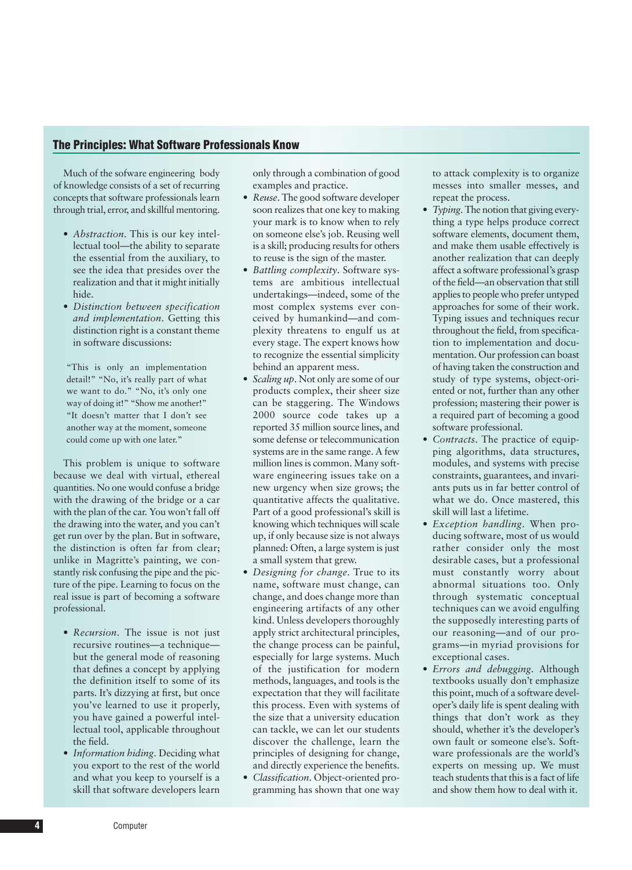# **The Principles: What Software Professionals Know**

Much of the sofware engineering body of knowledge consists of a set of recurring concepts that software professionals learn through trial, error, and skillful mentoring.

- *Abstraction*. This is our key intellectual tool—the ability to separate the essential from the auxiliary, to see the idea that presides over the realization and that it might initially hide.
- *Distinction between specification and implementation*. Getting this distinction right is a constant theme in software discussions:

"This is only an implementation detail!" "No, it's really part of what we want to do." "No, it's only one way of doing it!" "Show me another!" "It doesn't matter that I don't see another way at the moment, someone could come up with one later."

This problem is unique to software because we deal with virtual, ethereal quantities. No one would confuse a bridge with the drawing of the bridge or a car with the plan of the car. You won't fall off the drawing into the water, and you can't get run over by the plan. But in software, the distinction is often far from clear; unlike in Magritte's painting, we constantly risk confusing the pipe and the picture of the pipe. Learning to focus on the real issue is part of becoming a software professional.

- *Recursion*. The issue is not just recursive routines—a technique but the general mode of reasoning that defines a concept by applying the definition itself to some of its parts. It's dizzying at first, but once you've learned to use it properly, you have gained a powerful intellectual tool, applicable throughout the field.
- *Information hiding*. Deciding what you export to the rest of the world and what you keep to yourself is a skill that software developers learn

only through a combination of good examples and practice.

- *Reuse*. The good software developer soon realizes that one key to making your mark is to know when to rely on someone else's job. Reusing well is a skill; producing results for others to reuse is the sign of the master.
- *Battling complexity*. Software systems are ambitious intellectual undertakings—indeed, some of the most complex systems ever conceived by humankind—and complexity threatens to engulf us at every stage. The expert knows how to recognize the essential simplicity behind an apparent mess.
- *Scaling up*. Not only are some of our products complex, their sheer size can be staggering. The Windows 2000 source code takes up a reported 35 million source lines, and some defense or telecommunication systems are in the same range. A few million lines is common. Many software engineering issues take on a new urgency when size grows; the quantitative affects the qualitative. Part of a good professional's skill is knowing which techniques will scale up, if only because size is not always planned: Often, a large system is just a small system that grew.
- *Designing for change*. True to its name, software must change, can change, and does change more than engineering artifacts of any other kind. Unless developers thoroughly apply strict architectural principles, the change process can be painful, especially for large systems. Much of the justification for modern methods, languages, and tools is the expectation that they will facilitate this process. Even with systems of the size that a university education can tackle, we can let our students discover the challenge, learn the principles of designing for change, and directly experience the benefits.
- *Classification*. Object-oriented programming has shown that one way

to attack complexity is to organize messes into smaller messes, and repeat the process.

- *Typing*. The notion that giving everything a type helps produce correct software elements, document them, and make them usable effectively is another realization that can deeply affect a software professional's grasp of the field—an observation that still applies to people who prefer untyped approaches for some of their work. Typing issues and techniques recur throughout the field, from specification to implementation and documentation. Our profession can boast of having taken the construction and study of type systems, object-oriented or not, further than any other profession; mastering their power is a required part of becoming a good software professional.
- *Contracts*. The practice of equipping algorithms, data structures, modules, and systems with precise constraints, guarantees, and invariants puts us in far better control of what we do. Once mastered, this skill will last a lifetime.
- *Exception handling*. When producing software, most of us would rather consider only the most desirable cases, but a professional must constantly worry about abnormal situations too. Only through systematic conceptual techniques can we avoid engulfing the supposedly interesting parts of our reasoning—and of our programs—in myriad provisions for exceptional cases.
- *Errors and debugging*. Although textbooks usually don't emphasize this point, much of a software developer's daily life is spent dealing with things that don't work as they should, whether it's the developer's own fault or someone else's. Software professionals are the world's experts on messing up. We must teach students that this is a fact of life and show them how to deal with it.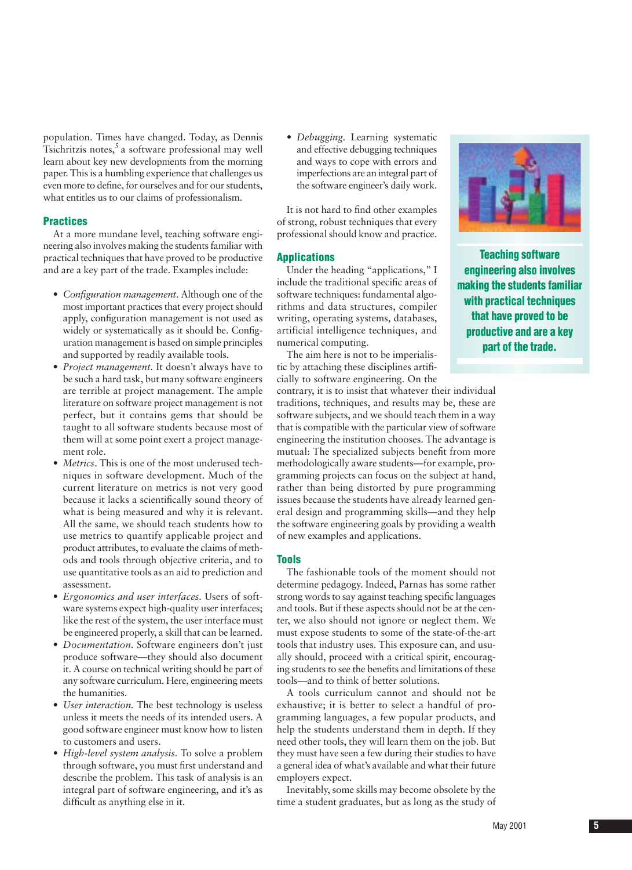population. Times have changed. Today, as Dennis Tsichritzis notes, $\frac{5}{3}$  a software professional may well learn about key new developments from the morning paper. This is a humbling experience that challenges us even more to define, for ourselves and for our students, what entitles us to our claims of professionalism.

# **Practices**

At a more mundane level, teaching software engineering also involves making the students familiar with practical techniques that have proved to be productive and are a key part of the trade. Examples include:

- *Configuration management*. Although one of the most important practices that every project should apply, configuration management is not used as widely or systematically as it should be. Configuration management is based on simple principles and supported by readily available tools.
- *Project management.* It doesn't always have to be such a hard task, but many software engineers are terrible at project management. The ample literature on software project management is not perfect, but it contains gems that should be taught to all software students because most of them will at some point exert a project management role.
- *Metrics*. This is one of the most underused techniques in software development. Much of the current literature on metrics is not very good because it lacks a scientifically sound theory of what is being measured and why it is relevant. All the same, we should teach students how to use metrics to quantify applicable project and product attributes, to evaluate the claims of methods and tools through objective criteria, and to use quantitative tools as an aid to prediction and assessment.
- *Ergonomics and user interfaces.* Users of software systems expect high-quality user interfaces; like the rest of the system, the user interface must be engineered properly, a skill that can be learned.
- *Documentation.* Software engineers don't just produce software—they should also document it. A course on technical writing should be part of any software curriculum. Here, engineering meets the humanities.
- *User interaction.* The best technology is useless unless it meets the needs of its intended users. A good software engineer must know how to listen to customers and users.
- *High-level system analysis.* To solve a problem through software, you must first understand and describe the problem. This task of analysis is an integral part of software engineering, and it's as difficult as anything else in it.

• *Debugging.* Learning systematic and effective debugging techniques and ways to cope with errors and imperfections are an integral part of the software engineer's daily work.

It is not hard to find other examples of strong, robust techniques that every professional should know and practice.

#### **Applications**

Under the heading "applications," I include the traditional specific areas of software techniques: fundamental algorithms and data structures, compiler writing, operating systems, databases, artificial intelligence techniques, and numerical computing.

The aim here is not to be imperialistic by attaching these disciplines artificially to software engineering. On the

contrary, it is to insist that whatever their individual traditions, techniques, and results may be, these are software subjects, and we should teach them in a way that is compatible with the particular view of software engineering the institution chooses. The advantage is mutual: The specialized subjects benefit from more methodologically aware students—for example, programming projects can focus on the subject at hand, rather than being distorted by pure programming issues because the students have already learned general design and programming skills—and they help the software engineering goals by providing a wealth of new examples and applications.

#### **Tools**

The fashionable tools of the moment should not determine pedagogy. Indeed, Parnas has some rather strong words to say against teaching specific languages and tools. But if these aspects should not be at the center, we also should not ignore or neglect them. We must expose students to some of the state-of-the-art tools that industry uses. This exposure can, and usually should, proceed with a critical spirit, encouraging students to see the benefits and limitations of these tools—and to think of better solutions.

A tools curriculum cannot and should not be exhaustive; it is better to select a handful of programming languages, a few popular products, and help the students understand them in depth. If they need other tools, they will learn them on the job. But they must have seen a few during their studies to have a general idea of what's available and what their future employers expect.

Inevitably, some skills may become obsolete by the time a student graduates, but as long as the study of



**Teaching software engineering also involves making the students familiar with practical techniques that have proved to be productive and are a key part of the trade.**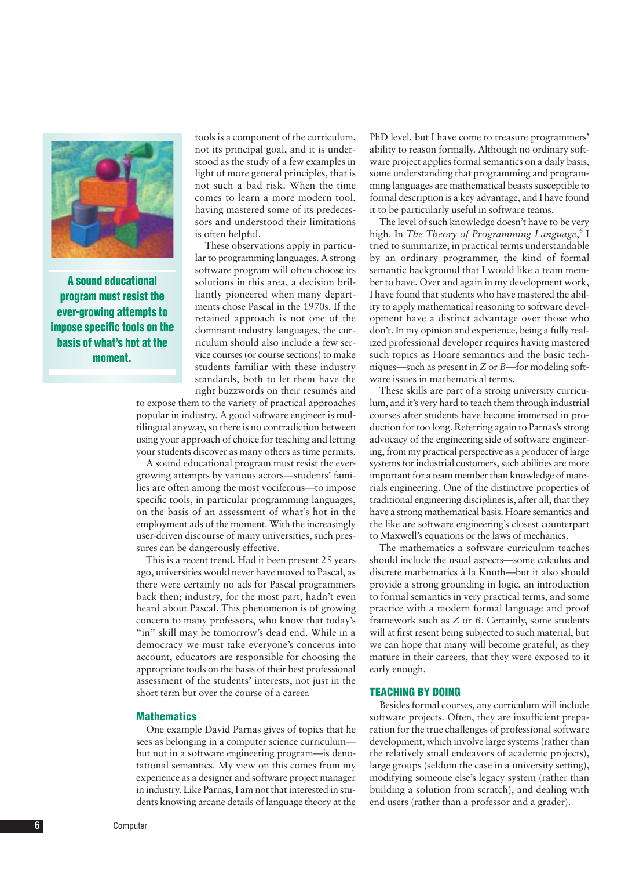

**A sound educational program must resist the ever-growing attempts to impose specific tools on the basis of what's hot at the moment.**

tools is a component of the curriculum, not its principal goal, and it is understood as the study of a few examples in light of more general principles, that is not such a bad risk. When the time comes to learn a more modern tool, having mastered some of its predecessors and understood their limitations is often helpful.

These observations apply in particular to programming languages. A strong software program will often choose its solutions in this area, a decision brilliantly pioneered when many departments chose Pascal in the 1970s. If the retained approach is not one of the dominant industry languages, the curriculum should also include a few service courses (or course sections) to make students familiar with these industry standards, both to let them have the right buzzwords on their resumés and

to expose them to the variety of practical approaches popular in industry. A good software engineer is multilingual anyway, so there is no contradiction between using your approach of choice for teaching and letting your students discover as many others as time permits.

A sound educational program must resist the evergrowing attempts by various actors—students' families are often among the most vociferous—to impose specific tools, in particular programming languages, on the basis of an assessment of what's hot in the employment ads of the moment. With the increasingly user-driven discourse of many universities, such pressures can be dangerously effective.

This is a recent trend. Had it been present 25 years ago, universities would never have moved to Pascal, as there were certainly no ads for Pascal programmers back then; industry, for the most part, hadn't even heard about Pascal. This phenomenon is of growing concern to many professors, who know that today's "in" skill may be tomorrow's dead end. While in a democracy we must take everyone's concerns into account, educators are responsible for choosing the appropriate tools on the basis of their best professional assessment of the students' interests, not just in the short term but over the course of a career.

#### **Mathematics**

One example David Parnas gives of topics that he sees as belonging in a computer science curriculum but not in a software engineering program—is denotational semantics. My view on this comes from my experience as a designer and software project manager in industry. Like Parnas, I am not that interested in students knowing arcane details of language theory at the PhD level, but I have come to treasure programmers' ability to reason formally. Although no ordinary software project applies formal semantics on a daily basis, some understanding that programming and programming languages are mathematical beasts susceptible to formal description is a key advantage, and I have found it to be particularly useful in software teams.

The level of such knowledge doesn't have to be very high. In *The Theory of Programming Language*, 6 I tried to summarize, in practical terms understandable by an ordinary programmer, the kind of formal semantic background that I would like a team member to have. Over and again in my development work, I have found that students who have mastered the ability to apply mathematical reasoning to software development have a distinct advantage over those who don't. In my opinion and experience, being a fully realized professional developer requires having mastered such topics as Hoare semantics and the basic techniques—such as present in *Z* or *B*—for modeling software issues in mathematical terms.

These skills are part of a strong university curriculum, and it's very hard to teach them through industrial courses after students have become immersed in production for too long. Referring again to Parnas's strong advocacy of the engineering side of software engineering, from my practical perspective as a producer of large systems for industrial customers, such abilities are more important for a team member than knowledge of materials engineering. One of the distinctive properties of traditional engineering disciplines is, after all, that they have a strong mathematical basis. Hoare semantics and the like are software engineering's closest counterpart to Maxwell's equations or the laws of mechanics.

The mathematics a software curriculum teaches should include the usual aspects—some calculus and discrete mathematics à la Knuth—but it also should provide a strong grounding in logic, an introduction to formal semantics in very practical terms, and some practice with a modern formal language and proof framework such as *Z* or *B*. Certainly, some students will at first resent being subjected to such material, but we can hope that many will become grateful, as they mature in their careers, that they were exposed to it early enough.

## **TEACHING BY DOING**

Besides formal courses, any curriculum will include software projects. Often, they are insufficient preparation for the true challenges of professional software development, which involve large systems (rather than the relatively small endeavors of academic projects), large groups (seldom the case in a university setting), modifying someone else's legacy system (rather than building a solution from scratch), and dealing with end users (rather than a professor and a grader).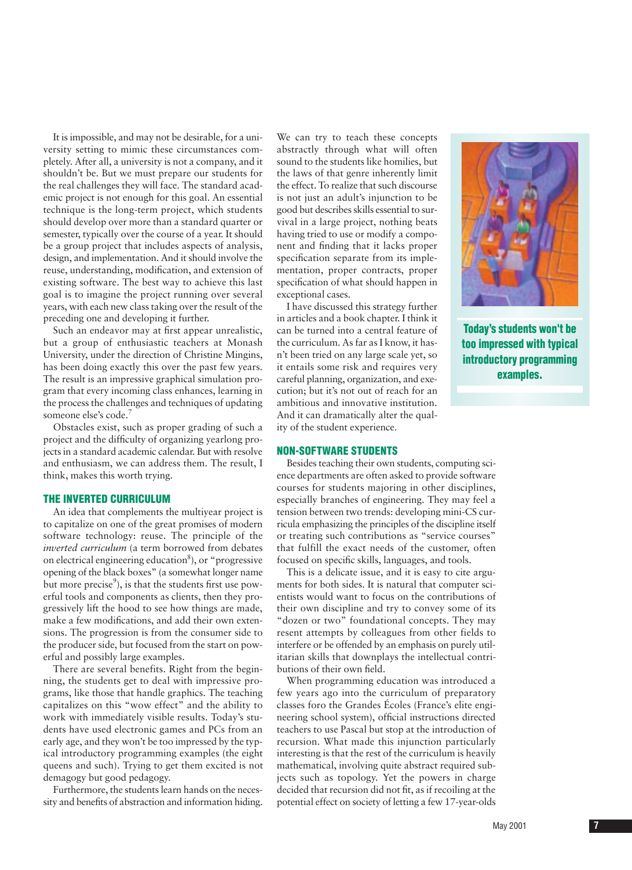It is impossible, and may not be desirable, for a university setting to mimic these circumstances completely. After all, a university is not a company, and it shouldn't be. But we must prepare our students for the real challenges they will face. The standard academic project is not enough for this goal. An essential technique is the long-term project, which students should develop over more than a standard quarter or semester, typically over the course of a year. It should be a group project that includes aspects of analysis, design, and implementation. And it should involve the reuse, understanding, modification, and extension of existing software. The best way to achieve this last goal is to imagine the project running over several years, with each new class taking over the result of the preceding one and developing it further.

Such an endeavor may at first appear unrealistic, but a group of enthusiastic teachers at Monash University, under the direction of Christine Mingins, has been doing exactly this over the past few years. The result is an impressive graphical simulation program that every incoming class enhances, learning in the process the challenges and techniques of updating someone else's code.<sup>7</sup>

Obstacles exist, such as proper grading of such a project and the difficulty of organizing yearlong projects in a standard academic calendar. But with resolve and enthusiasm, we can address them. The result, I think, makes this worth trying.

## **THE INVERTED CURRICULUM**

An idea that complements the multiyear project is to capitalize on one of the great promises of modern software technology: reuse. The principle of the *inverted curriculum* (a term borrowed from debates on electrical engineering education<sup>8</sup>), or "progressive opening of the black boxes" (a somewhat longer name but more precise<sup>9</sup>), is that the students first use powerful tools and components as clients, then they progressively lift the hood to see how things are made, make a few modifications, and add their own extensions. The progression is from the consumer side to the producer side, but focused from the start on powerful and possibly large examples.

There are several benefits. Right from the beginning, the students get to deal with impressive programs, like those that handle graphics. The teaching capitalizes on this "wow effect" and the ability to work with immediately visible results. Today's students have used electronic games and PCs from an early age, and they won't be too impressed by the typical introductory programming examples (the eight queens and such). Trying to get them excited is not demagogy but good pedagogy.

Furthermore, the students learn hands on the necessity and benefits of abstraction and information hiding.

We can try to teach these concepts abstractly through what will often sound to the students like homilies, but the laws of that genre inherently limit the effect. To realize that such discourse is not just an adult's injunction to be good but describes skills essential to survival in a large project, nothing beats having tried to use or modify a component and finding that it lacks proper specification separate from its implementation, proper contracts, proper specification of what should happen in exceptional cases.

I have discussed this strategy further in articles and a book chapter. I think it can be turned into a central feature of the curriculum. As far as I know, it hasn't been tried on any large scale yet, so it entails some risk and requires very careful planning, organization, and execution; but it's not out of reach for an ambitious and innovative institution. And it can dramatically alter the quality of the student experience.

#### **NON-SOFTWARE STUDENTS**

Besides teaching their own students, computing science departments are often asked to provide software courses for students majoring in other disciplines, especially branches of engineering. They may feel a tension between two trends: developing mini-CS curricula emphasizing the principles of the discipline itself or treating such contributions as "service courses" that fulfill the exact needs of the customer, often focused on specific skills, languages, and tools.

This is a delicate issue, and it is easy to cite arguments for both sides. It is natural that computer scientists would want to focus on the contributions of their own discipline and try to convey some of its "dozen or two" foundational concepts. They may resent attempts by colleagues from other fields to interfere or be offended by an emphasis on purely utilitarian skills that downplays the intellectual contributions of their own field.

When programming education was introduced a few years ago into the curriculum of preparatory classes foro the Grandes Écoles (France's elite engineering school system), official instructions directed teachers to use Pascal but stop at the introduction of recursion. What made this injunction particularly interesting is that the rest of the curriculum is heavily mathematical, involving quite abstract required subjects such as topology. Yet the powers in charge decided that recursion did not fit, as if recoiling at the potential effect on society of letting a few 17-year-olds



**Today's students won't be too impressed with typical introductory programming examples.**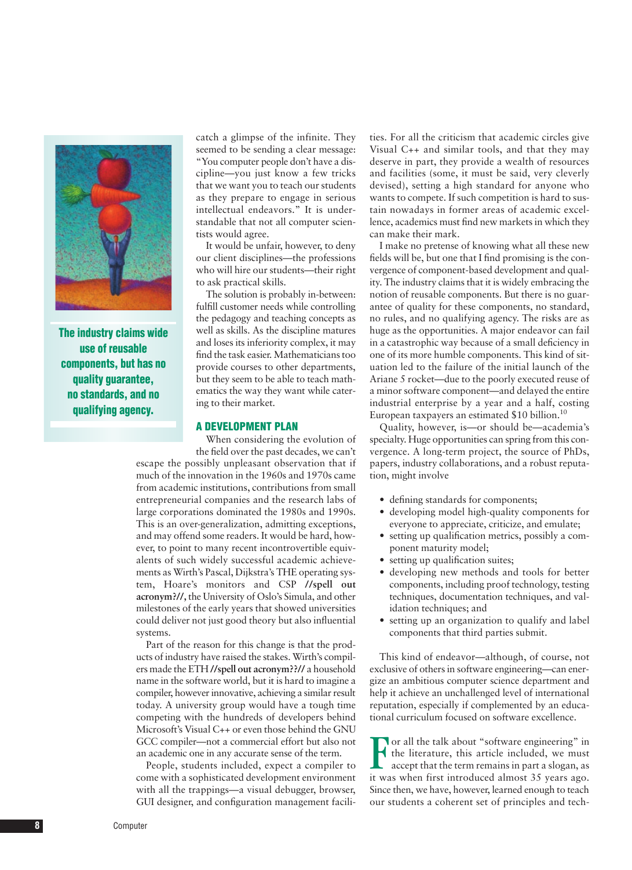

**The industry claims wide use of reusable components, but has no quality guarantee, no standards, and no qualifying agency.**

catch a glimpse of the infinite. They seemed to be sending a clear message: "You computer people don't have a discipline—you just know a few tricks that we want you to teach our students as they prepare to engage in serious intellectual endeavors." It is understandable that not all computer scientists would agree.

It would be unfair, however, to deny our client disciplines—the professions who will hire our students—their right to ask practical skills.

The solution is probably in-between: fulfill customer needs while controlling the pedagogy and teaching concepts as well as skills. As the discipline matures and loses its inferiority complex, it may find the task easier. Mathematicians too provide courses to other departments, but they seem to be able to teach mathematics the way they want while catering to their market.

#### **A DEVELOPMENT PLAN**

When considering the evolution of the field over the past decades, we can't

escape the possibly unpleasant observation that if much of the innovation in the 1960s and 1970s came from academic institutions, contributions from small entrepreneurial companies and the research labs of large corporations dominated the 1980s and 1990s. This is an over-generalization, admitting exceptions, and may offend some readers. It would be hard, however, to point to many recent incontrovertible equivalents of such widely successful academic achievements as Wirth's Pascal, Dijkstra's THE operating system, Hoare's monitors and CSP **//spell out acronym?//,** the University of Oslo's Simula, and other milestones of the early years that showed universities could deliver not just good theory but also influential systems.

Part of the reason for this change is that the products of industry have raised the stakes. Wirth's compilers made the ETH **//spell out acronym??//** a household name in the software world, but it is hard to imagine a compiler, however innovative, achieving a similar result today. A university group would have a tough time competing with the hundreds of developers behind Microsoft's Visual C++ or even those behind the GNU GCC compiler—not a commercial effort but also not an academic one in any accurate sense of the term.

People, students included, expect a compiler to come with a sophisticated development environment with all the trappings—a visual debugger, browser, GUI designer, and configuration management facilities. For all the criticism that academic circles give Visual C++ and similar tools, and that they may deserve in part, they provide a wealth of resources and facilities (some, it must be said, very cleverly devised), setting a high standard for anyone who wants to compete. If such competition is hard to sustain nowadays in former areas of academic excellence, academics must find new markets in which they can make their mark.

I make no pretense of knowing what all these new fields will be, but one that I find promising is the convergence of component-based development and quality. The industry claims that it is widely embracing the notion of reusable components. But there is no guarantee of quality for these components, no standard, no rules, and no qualifying agency. The risks are as huge as the opportunities. A major endeavor can fail in a catastrophic way because of a small deficiency in one of its more humble components. This kind of situation led to the failure of the initial launch of the Ariane 5 rocket—due to the poorly executed reuse of a minor software component—and delayed the entire industrial enterprise by a year and a half, costing European taxpayers an estimated  $$10$  billion.<sup>10</sup>

Quality, however, is—or should be—academia's specialty. Huge opportunities can spring from this convergence. A long-term project, the source of PhDs, papers, industry collaborations, and a robust reputation, might involve

- defining standards for components;
- developing model high-quality components for everyone to appreciate, criticize, and emulate;
- setting up qualification metrics, possibly a component maturity model;
- setting up qualification suites;
- developing new methods and tools for better components, including proof technology, testing techniques, documentation techniques, and validation techniques; and
- setting up an organization to qualify and label components that third parties submit.

This kind of endeavor—although, of course, not exclusive of others in software engineering—can energize an ambitious computer science department and help it achieve an unchallenged level of international reputation, especially if complemented by an educational curriculum focused on software excellence.

If or all the talk about "software engineering" in<br>the literature, this article included, we must<br>accept that the term remains in part a slogan, as<br>it was when first introduced almost 35 years ago. or all the talk about "software engineering" in the literature, this article included, we must accept that the term remains in part a slogan, as Since then, we have, however, learned enough to teach our students a coherent set of principles and tech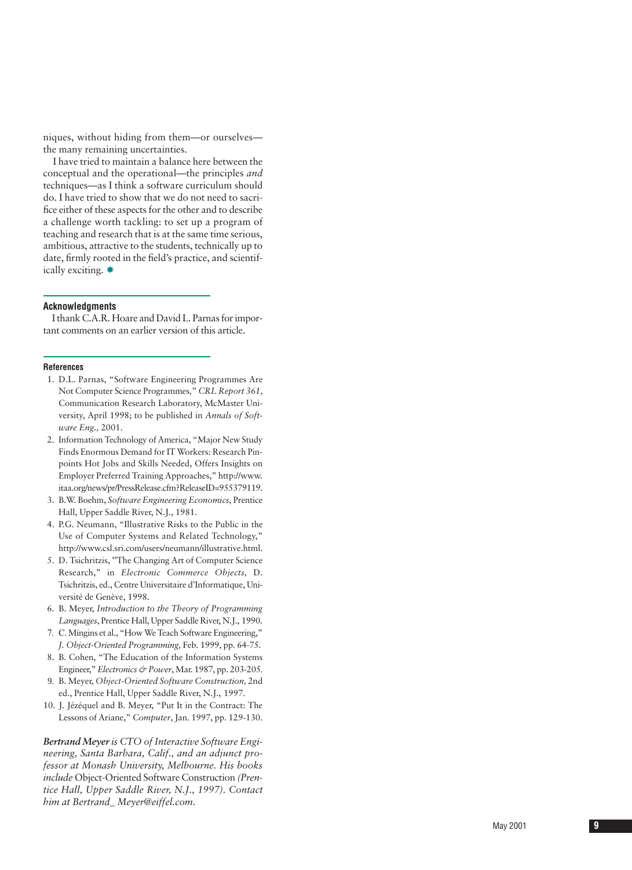niques, without hiding from them—or ourselves the many remaining uncertainties.

I have tried to maintain a balance here between the conceptual and the operational—the principles *and* techniques—as I think a software curriculum should do. I have tried to show that we do not need to sacrifice either of these aspects for the other and to describe a challenge worth tackling: to set up a program of teaching and research that is at the same time serious, ambitious, attractive to the students, technically up to date, firmly rooted in the field's practice, and scientifically exciting. ✸

#### **Acknowledgments**

I thank C.A.R. Hoare and David L. Parnas for important comments on an earlier version of this article.

#### **References**

- 1. D.L. Parnas, "Software Engineering Programmes Are Not Computer Science Programmes *,*" *CRL Report 361* , Communication Research Laboratory, McMaster University, April 1998; to be published in *Annals of Software Eng.,* 2001.
- 2. Information Technology of America, "Major New Study Finds Enormous Demand for IT Workers: Research Pinpoints Hot Jobs and Skills Needed, Offers Insights on Employer Preferred Training Approaches," http://www. itaa.org/news/pr/PressRelease.cfm?ReleaseID=955379119.
- 3. B.W. Boehm, *Software Engineering Economics*, Prentice Hall, Upper Saddle River, N.J., 1981.
- 4. P.G. Neumann, "Illustrative Risks to the Public in the Use of Computer Systems and Related Technology," http://www.csl.sri.com/users/neumann/illustrative.html.
- 5. D. Tsichritzis, "The Changing Art of Computer Science Research," in *Electronic Commerce Objects,* D. Tsichritzis, ed., Centre Universitaire d'Informatique, Université de Genève, 1998*.*
- 6. B. Meyer, *Introduction to the Theory of Programming Languages*, Prentice Hall, Upper Saddle River, N.J., 1990.
- 7. C. Mingins et al., "How We Teach Software Engineering," *J. Object-Oriented Programming,* Feb. 1999, pp. 64-75.
- 8. B. Cohen, "The Education of the Information Systems Engineer," *Electronics & Power*, Mar. 1987, pp. 203-205.
- 9. B. Meyer, *Object-Oriented Software Construction,* 2nd ed., Prentice Hall, Upper Saddle River, N.J., 1997 .
- 10. J. Jézéquel and B. Meyer, "Put It in the Contract: The Lessons of Ariane," *Computer*, Jan. 1997, pp. 129-130.

*Bertrand Meyer is CTO of Interactive Software Engineering, Santa Barbara, Calif., and an adjunct professor at Monash University, Melbourne. His books include* Object-Oriented Software Construction *(Prentice Hall, Upper Saddle River, N.J., 1997). Contact him at Bertrand\_ Meyer@eiffel.com.*